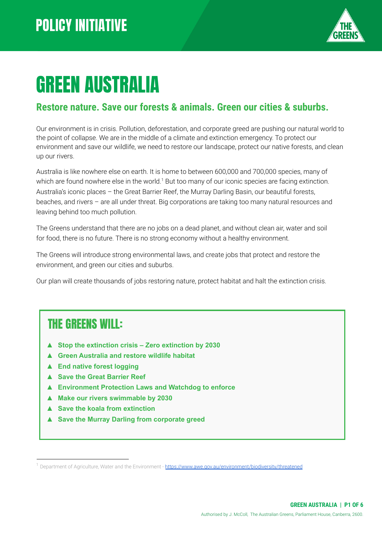

# GREEN AUSTRALIA

#### **Restore nature. Save our forests & animals. Green our cities & suburbs.**

Our environment is in crisis. Pollution, deforestation, and corporate greed are pushing our natural world to the point of collapse. We are in the middle of a climate and extinction emergency. To protect our environment and save our wildlife, we need to restore our landscape, protect our native forests, and clean up our rivers.

Australia is like nowhere else on earth. It is home to between 600,000 and 700,000 species, many of which are found nowhere else in the world.<sup>1</sup> But too many of our iconic species are facing extinction. Australia's iconic places – the Great Barrier Reef, the Murray Darling Basin, our beautiful forests, beaches, and rivers – are all under threat. Big corporations are taking too many natural resources and leaving behind too much pollution.

The Greens understand that there are no jobs on a dead planet, and without clean air, water and soil for food, there is no future. There is no strong economy without a healthy environment.

The Greens will introduce strong environmental laws, and create jobs that protect and restore the environment, and green our cities and suburbs.

Our plan will create thousands of jobs restoring nature, protect habitat and halt the extinction crisis.

#### THE GREENS WILL:

- ▲ **Stop the extinction crisis Zero extinction by 2030**
- ▲ **Green Australia and restore wildlife habitat**
- ▲ **End native forest logging**
- ▲ **Save the Great Barrier Reef**
- ▲ **Environment Protection Laws and Watchdog to enforce**
- ▲ **Make our rivers swimmable by 2030**
- ▲ **Save the koala from extinction**
- ▲ **Save the Murray Darling from corporate greed**

<sup>&</sup>lt;sup>1</sup> Department of Agriculture, Water and the Environment - <https://www.awe.gov.au/environment/biodiversity/threatened>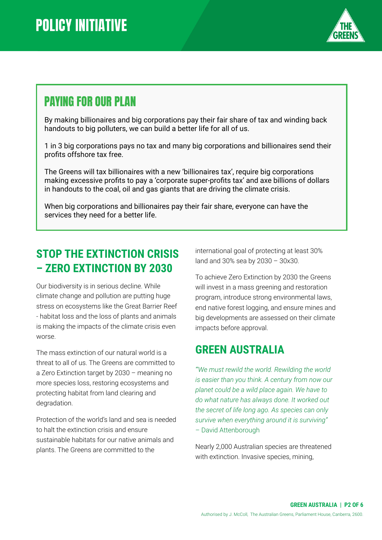

### PAYING FOR OUR PLAN

By making billionaires and big corporations pay their fair share of tax and winding back handouts to big polluters, we can build a better life for all of us.

1 in 3 big corporations pays no tax and many big corporations and billionaires send their profits offshore tax free.

The Greens will tax billionaires with a new 'billionaires tax', require big corporations making excessive profits to pay a 'corporate super-profits tax' and axe billions of dollars in handouts to the coal, oil and gas giants that are driving the climate crisis.

When big corporations and billionaires pay their fair share, everyone can have the services they need for a better life.

#### **STOP THE EXTINCTION CRISIS – ZERO EXTINCTION BY 2030**

Our biodiversity is in serious decline. While climate change and pollution are putting huge stress on ecosystems like the Great Barrier Reef - habitat loss and the loss of plants and animals is making the impacts of the climate crisis even worse.

The mass extinction of our natural world is a threat to all of us. The Greens are committed to a Zero Extinction target by 2030 – meaning no more species loss, restoring ecosystems and protecting habitat from land clearing and degradation.

Protection of the world's land and sea is needed to halt the extinction crisis and ensure sustainable habitats for our native animals and plants. The Greens are committed to the

international goal of protecting at least 30% land and 30% sea by 2030 – 30x30.

To achieve Zero Extinction by 2030 the Greens will invest in a mass greening and restoration program, introduce strong environmental laws, end native forest logging, and ensure mines and big developments are assessed on their climate impacts before approval.

#### **GREEN AUSTRALIA**

*"'We must rewild the world. Rewilding the world is easier than you think. A century from now our planet could be a wild place again. We have to do what nature has always done. It worked out the secret of life long ago. As species can only survive when everything around it is surviving"* – David Attenborough

Nearly 2,000 Australian species are threatened with extinction. Invasive species, mining,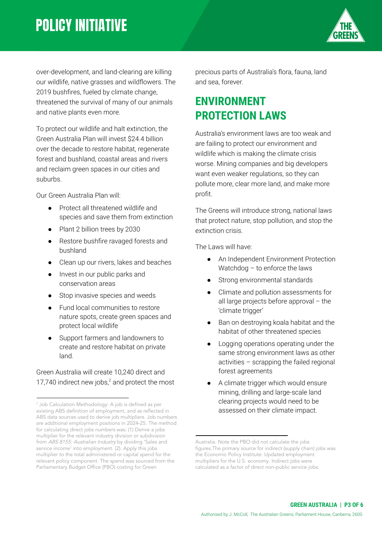

over-development, and land-clearing are killing our wildlife, native grasses and wildflowers. The 2019 bushfires, fueled by climate change, threatened the survival of many of our animals and native plants even more.

To protect our wildlife and halt extinction, the Green Australia Plan will invest \$24.4 billion over the decade to restore habitat, regenerate forest and bushland, coastal areas and rivers and reclaim green spaces in our cities and suburbs.

Our Green Australia Plan will:

- Protect all threatened wildlife and species and save them from extinction
- Plant 2 billion trees by 2030
- Restore bushfire ravaged forests and bushland
- Clean up our rivers, lakes and beaches
- Invest in our public parks and conservation areas
- Stop invasive species and weeds
- Fund local communities to restore nature spots, create green spaces and protect local wildlife
- Support farmers and landowners to create and restore habitat on private land.

Green Australia will create 10,240 direct and 17,740 indirect new jobs, $2$  and protect the most precious parts of Australia's flora, fauna, land and sea, forever.

#### **ENVIRONMENT PROTECTION LAWS**

Australia's environment laws are too weak and are failing to protect our environment and wildlife which is making the climate crisis worse. Mining companies and big developers want even weaker regulations, so they can pollute more, clear more land, and make more profit.

The Greens will introduce strong, national laws that protect nature, stop pollution, and stop the extinction crisis.

The Laws will have:

- An Independent Environment Protection Watchdog – to enforce the laws
- Strong environmental standards
- Climate and pollution assessments for all large projects before approval – the 'climate trigger'
- Ban on destroying koala habitat and the habitat of other threatened species
- Logging operations operating under the same strong environment laws as other activities – scrapping the failed regional forest agreements
- A climate trigger which would ensure mining, drilling and large-scale land clearing projects would need to be assessed on their climate impact.

<sup>&</sup>lt;sup>2</sup> Job Calculation Methodology: A job is defined as per existing ABS definition of employment, and as reflected in ABS data sources used to derive job multipliers. Job numbers are additional employment positions in 2024-25. The method for calculating direct jobs numbers was: (1) Derive a jobs multiplier for the relevant industry division or subdivision from ABS 8155: Australian Industry by dividing 'Sales and service income' into employment. (2). Apply this jobs multiplier to the total administered or capital spend for the relevant policy component. The spend was sourced from the Parliamentary Budget Office (PBO) costing for Green

Australia. Note the PBO did not calculate the jobs figures.The primary source for indirect (supply chain) jobs was the Economic Policy Institute: Updated employment multipliers for the U.S. economy. Indirect jobs were calculated as a factor of direct non-public service jobs.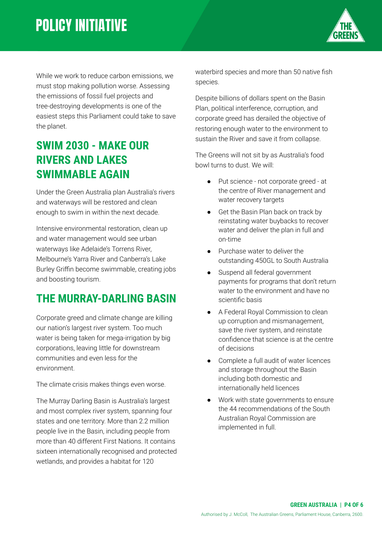

While we work to reduce carbon emissions, we must stop making pollution worse. Assessing the emissions of fossil fuel projects and tree-destroying developments is one of the easiest steps this Parliament could take to save the planet.

#### **SWIM 2030 - MAKE OUR RIVERS AND LAKES SWIMMABLE AGAIN**

Under the Green Australia plan Australia's rivers and waterways will be restored and clean enough to swim in within the next decade.

Intensive environmental restoration, clean up and water management would see urban waterways like Adelaide's Torrens River, Melbourne's Yarra River and Canberra's Lake Burley Griffin become swimmable, creating jobs and boosting tourism.

#### **THE MURRAY-DARLING BASIN**

Corporate greed and climate change are killing our nation's largest river system. Too much water is being taken for mega-irrigation by big corporations, leaving little for downstream communities and even less for the environment.

The climate crisis makes things even worse.

The Murray Darling Basin is Australia's largest and most complex river system, spanning four states and one territory. More than 2.2 million people live in the Basin, including people from more than 40 different First Nations. It contains sixteen internationally recognised and protected wetlands, and provides a habitat for 120

waterbird species and more than 50 native fish species.

Despite billions of dollars spent on the Basin Plan, political interference, corruption, and corporate greed has derailed the objective of restoring enough water to the environment to sustain the River and save it from collapse.

The Greens will not sit by as Australia's food bowl turns to dust. We will:

- Put science not corporate greed at the centre of River management and water recovery targets
- Get the Basin Plan back on track by reinstating water buybacks to recover water and deliver the plan in full and on-time
- Purchase water to deliver the outstanding 450GL to South Australia
- Suspend all federal government payments for programs that don't return water to the environment and have no scientific basis
- A Federal Royal Commission to clean up corruption and mismanagement, save the river system, and reinstate confidence that science is at the centre of decisions
- Complete a full audit of water licences and storage throughout the Basin including both domestic and internationally held licences
- Work with state governments to ensure the 44 recommendations of the South Australian Royal Commission are implemented in full.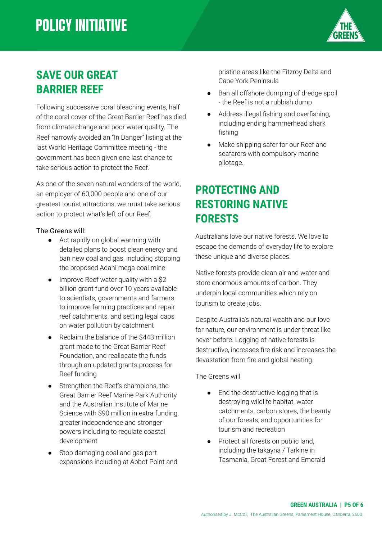

#### **SAVE OUR GREAT BARRIER REEF**

Following successive coral bleaching events, half of the coral cover of the Great Barrier Reef has died from climate change and poor water quality. The Reef narrowly avoided an "In Danger" listing at the last World Heritage Committee meeting - the government has been given one last chance to take serious action to protect the Reef.

As one of the seven natural wonders of the world, an employer of 60,000 people and one of our greatest tourist attractions, we must take serious action to protect what's left of our Reef.

#### The Greens will:

- Act rapidly on global warming with detailed plans to boost clean energy and ban new coal and gas, including stopping the proposed Adani mega coal mine
- Improve Reef water quality with a \$2 billion grant fund over 10 years available to scientists, governments and farmers to improve farming practices and repair reef catchments, and setting legal caps on water pollution by catchment
- Reclaim the balance of the \$443 million grant made to the Great Barrier Reef Foundation, and reallocate the funds through an updated grants process for Reef funding
- Strengthen the Reef's champions, the Great Barrier Reef Marine Park Authority and the Australian Institute of Marine Science with \$90 million in extra funding, greater independence and stronger powers including to regulate coastal development
- Stop damaging coal and gas port expansions including at Abbot Point and

pristine areas like the Fitzroy Delta and Cape York Peninsula

- Ban all offshore dumping of dredge spoil - the Reef is not a rubbish dump
- Address illegal fishing and overfishing, including ending hammerhead shark fishing
- Make shipping safer for our Reef and seafarers with compulsory marine pilotage.

#### **PROTECTING AND RESTORING NATIVE FORESTS**

Australians love our native forests. We love to escape the demands of everyday life to explore these unique and diverse places.

Native forests provide clean air and water and store enormous amounts of carbon. They underpin local communities which rely on tourism to create jobs.

Despite Australia's natural wealth and our love for nature, our environment is under threat like never before. Logging of native forests is destructive, increases fire risk and increases the devastation from fire and global heating.

The Greens will

- End the destructive logging that is destroying wildlife habitat, water catchments, carbon stores, the beauty of our forests, and opportunities for tourism and recreation
- Protect all forests on public land, including the takayna / Tarkine in Tasmania, Great Forest and Emerald